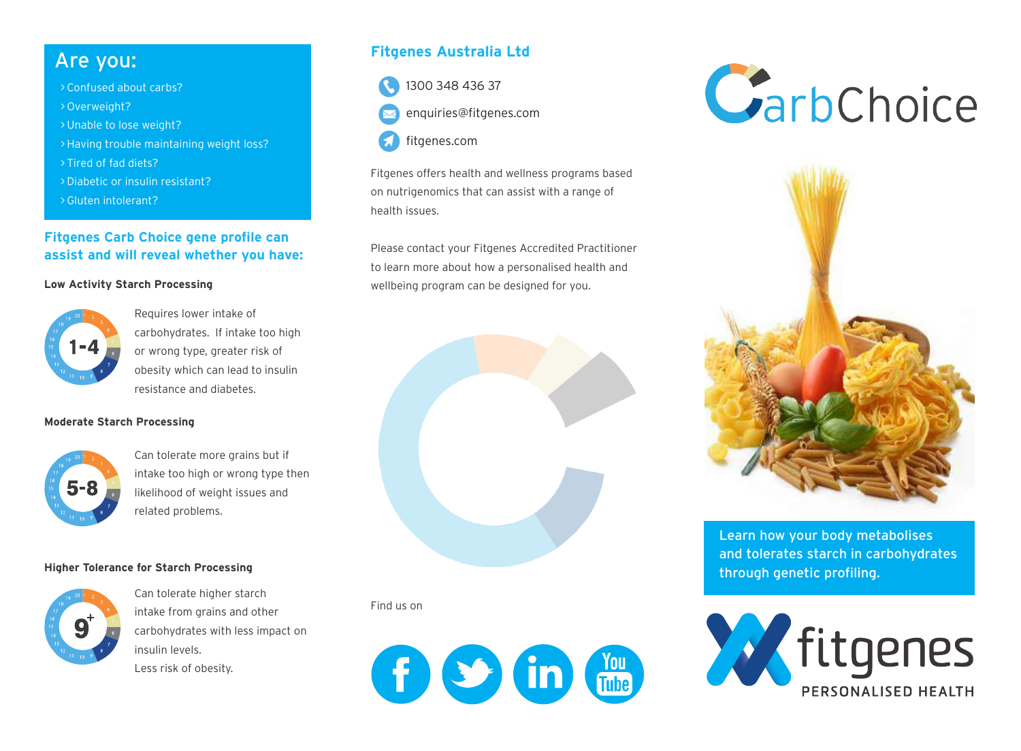- > Confused about carbs?
- > Overweight?
- > Unable to lose weight?
- >Having trouble maintaining weight loss?
- > Tired of fad diets?
- > Diabetic or insulin resistant?
- > Gluten intolerant?

### **Fitgenes Carb Choice gene profile can assist and will reveal whether you have:**

#### **Low Activity Starch Processing**



Requires lower intake of carbohydrates. If intake too high or wrong type, greater risk of obesity which can lead to insulin resistance and diabetes.

#### **Moderate Starch Processing**



Can tolerate more grains but if intake too high or wrong type then likelihood of weight issues and related problems.

#### **Higher Tolerance for Starch Processing**



Can tolerate higher starch intake from grains and other carbohydrates with less impact on insulin levels. Less risk of obesity.

# Are you: **Fitgenes Australia Ltd**



enquiries@fitgenes.com



Fitgenes offers health and wellness programs based on nutrigenomics that can assist with a range of health issues.

Please contact your Fitgenes Accredited Practitioner to learn more about how a personalised health and wellbeing program can be designed for you.



#### Find us on







Learn how your body metabolises and tolerates starch in carbohydrates through genetic profiling.